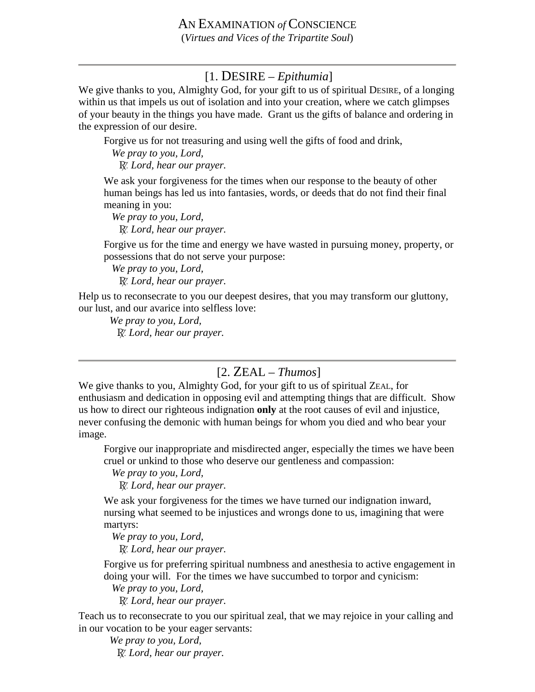## [1. DESIRE – *Epithumia*]

We give thanks to you, Almighty God, for your gift to us of spiritual DESIRE, of a longing within us that impels us out of isolation and into your creation, where we catch glimpses of your beauty in the things you have made. Grant us the gifts of balance and ordering in the expression of our desire.

Forgive us for not treasuring and using well the gifts of food and drink,

 *We pray to you, Lord,* 

∫ *Lord, hear our prayer.*

We ask your forgiveness for the times when our response to the beauty of other human beings has led us into fantasies, words, or deeds that do not find their final meaning in you:

 *We pray to you, Lord,*  ∫ *Lord, hear our prayer.*

Forgive us for the time and energy we have wasted in pursuing money, property, or possessions that do not serve your purpose:

 *We pray to you, Lord,*

∫ *Lord, hear our prayer.*

Help us to reconsecrate to you our deepest desires, that you may transform our gluttony, our lust, and our avarice into selfless love:

 *We pray to you, Lord,* ∫ *Lord, hear our prayer.*

## [2. ZEAL – *Thumos*]

We give thanks to you, Almighty God, for your gift to us of spiritual ZEAL, for enthusiasm and dedication in opposing evil and attempting things that are difficult. Show us how to direct our righteous indignation **only** at the root causes of evil and injustice, never confusing the demonic with human beings for whom you died and who bear your image.

Forgive our inappropriate and misdirected anger, especially the times we have been cruel or unkind to those who deserve our gentleness and compassion:

 *We pray to you, Lord,*  ∫ *Lord, hear our prayer.*

We ask your forgiveness for the times we have turned our indignation inward, nursing what seemed to be injustices and wrongs done to us, imagining that were martyrs:

 *We pray to you, Lord,*  ∫ *Lord, hear our prayer.*

Forgive us for preferring spiritual numbness and anesthesia to active engagement in doing your will. For the times we have succumbed to torpor and cynicism:

 *We pray to you, Lord,*  ∫ *Lord, hear our prayer.*

Teach us to reconsecrate to you our spiritual zeal, that we may rejoice in your calling and in our vocation to be your eager servants:

 *We pray to you, Lord,* ∫ *Lord, hear our prayer.*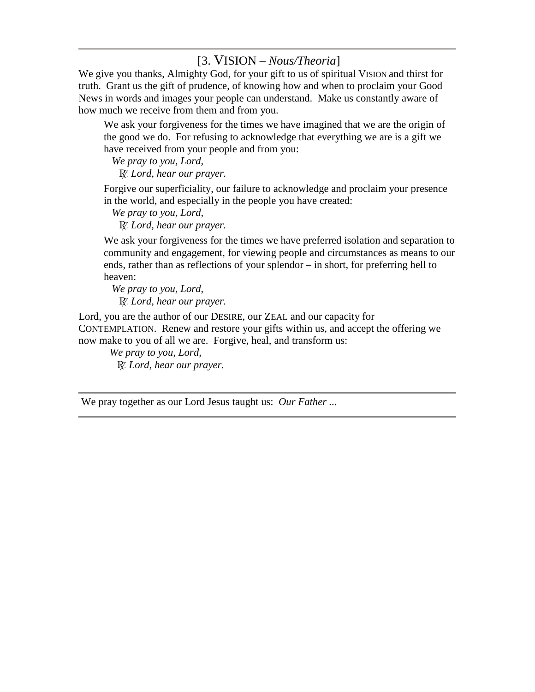## [3. VISION – *Nous/Theoria*]

We give you thanks, Almighty God, for your gift to us of spiritual VISION and thirst for truth. Grant us the gift of prudence, of knowing how and when to proclaim your Good News in words and images your people can understand. Make us constantly aware of how much we receive from them and from you.

We ask your forgiveness for the times we have imagined that we are the origin of the good we do. For refusing to acknowledge that everything we are is a gift we have received from your people and from you:

 *We pray to you, Lord,*  ∫ *Lord, hear our prayer.*

Forgive our superficiality, our failure to acknowledge and proclaim your presence in the world, and especially in the people you have created:

 *We pray to you, Lord,*  ∫ *Lord, hear our prayer.*

We ask your forgiveness for the times we have preferred isolation and separation to community and engagement, for viewing people and circumstances as means to our ends, rather than as reflections of your splendor – in short, for preferring hell to heaven:

 *We pray to you, Lord,*  ∫ *Lord, hear our prayer.*

Lord, you are the author of our DESIRE, our ZEAL and our capacity for CONTEMPLATION. Renew and restore your gifts within us, and accept the offering we now make to you of all we are. Forgive, heal, and transform us:

 *We pray to you, Lord,* ∫ *Lord, hear our prayer.*

We pray together as our Lord Jesus taught us: *Our Father ...*